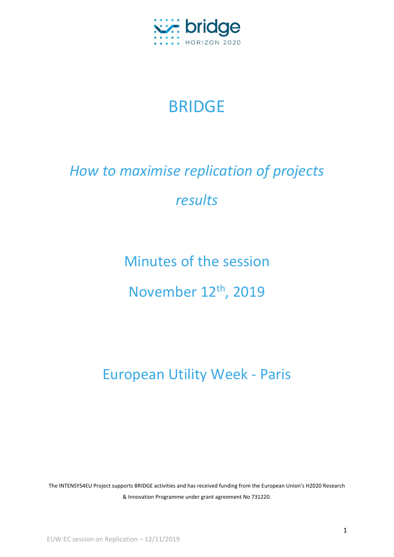

## BRIDGE

## *How to maximise replication of projects results*

Minutes of the session

November 12<sup>th</sup>, 2019

European Utility Week - Paris

The INTENSYS4EU Project supports BRIDGE activities and has received funding from the European Union's H2020 Research & Innovation Programme under grant agreement No 731220.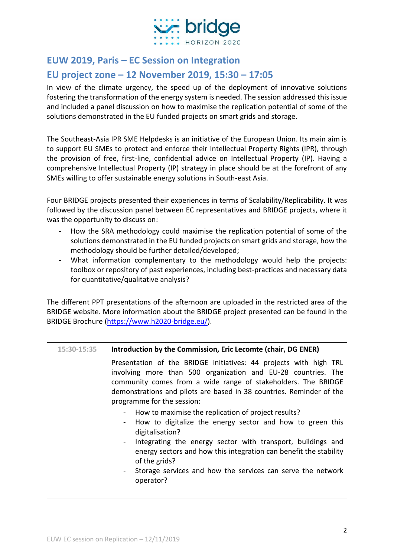

## **EUW 2019, Paris – EC Session on Integration**

## **EU project zone – 12 November 2019, 15:30 – 17:05**

In view of the climate urgency, the speed up of the deployment of innovative solutions fostering the transformation of the energy system is needed. The session addressed this issue and included a panel discussion on how to maximise the replication potential of some of the solutions demonstrated in the EU funded projects on smart grids and storage.

The Southeast-Asia IPR SME Helpdesks is an initiative of the European Union. Its main aim is to support EU SMEs to protect and enforce their Intellectual Property Rights (IPR), through the provision of free, first-line, confidential advice on Intellectual Property (IP). Having a comprehensive Intellectual Property (IP) strategy in place should be at the forefront of any SMEs willing to offer sustainable energy solutions in South-east Asia.

Four BRIDGE projects presented their experiences in terms of Scalability/Replicability. It was followed by the discussion panel between EC representatives and BRIDGE projects, where it was the opportunity to discuss on:

- How the SRA methodology could maximise the replication potential of some of the solutions demonstrated in the EU funded projects on smart grids and storage, how the methodology should be further detailed/developed;
- What information complementary to the methodology would help the projects: toolbox or repository of past experiences, including best-practices and necessary data for quantitative/qualitative analysis?

The different PPT presentations of the afternoon are uploaded in the restricted area of the BRIDGE website. More information about the BRIDGE project presented can be found in the BRIDGE Brochure [\(https://www.h2020-bridge.eu/\)](https://www.h2020-bridge.eu/).

| 15:30-15:35 | Introduction by the Commission, Eric Lecomte (chair, DG ENER)                                                                                                                                                                                                                                                                                                                                                                          |
|-------------|----------------------------------------------------------------------------------------------------------------------------------------------------------------------------------------------------------------------------------------------------------------------------------------------------------------------------------------------------------------------------------------------------------------------------------------|
|             | Presentation of the BRIDGE initiatives: 44 projects with high TRL<br>involving more than 500 organization and EU-28 countries. The<br>community comes from a wide range of stakeholders. The BRIDGE<br>demonstrations and pilots are based in 38 countries. Reminder of the<br>programme for the session:                                                                                                                              |
|             | How to maximise the replication of project results?<br>$\blacksquare$<br>How to digitalize the energy sector and how to green this<br>$\sim$ 100 $\mu$<br>digitalisation?<br>Integrating the energy sector with transport, buildings and<br>$\sim 100$<br>energy sectors and how this integration can benefit the stability<br>of the grids?<br>Storage services and how the services can serve the network<br>$\sim 100$<br>operator? |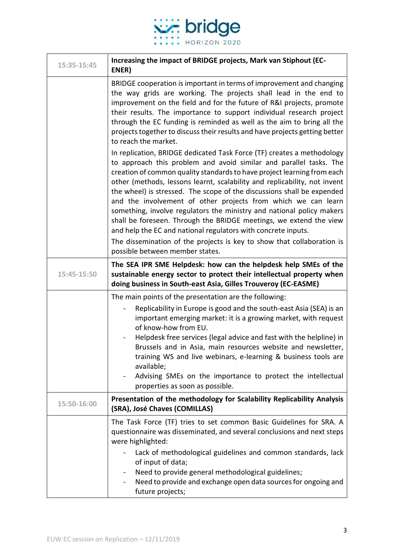

| 15:35-15:45 | Increasing the impact of BRIDGE projects, Mark van Stiphout (EC-<br>ENER)                                                                                                                                                                                                                                                                                                                                                                                                                                                                                                             |
|-------------|---------------------------------------------------------------------------------------------------------------------------------------------------------------------------------------------------------------------------------------------------------------------------------------------------------------------------------------------------------------------------------------------------------------------------------------------------------------------------------------------------------------------------------------------------------------------------------------|
|             | BRIDGE cooperation is important in terms of improvement and changing<br>the way grids are working. The projects shall lead in the end to<br>improvement on the field and for the future of R&I projects, promote<br>their results. The importance to support individual research project<br>through the EC funding is reminded as well as the aim to bring all the<br>projects together to discuss their results and have projects getting better<br>to reach the market.<br>In replication, BRIDGE dedicated Task Force (TF) creates a methodology                                   |
|             | to approach this problem and avoid similar and parallel tasks. The<br>creation of common quality standards to have project learning from each<br>other (methods, lessons learnt, scalability and replicability, not invent<br>the wheel) is stressed. The scope of the discussions shall be expended<br>and the involvement of other projects from which we can learn<br>something, involve regulators the ministry and national policy makers<br>shall be foreseen. Through the BRIDGE meetings, we extend the view<br>and help the EC and national regulators with concrete inputs. |
|             | The dissemination of the projects is key to show that collaboration is<br>possible between member states.                                                                                                                                                                                                                                                                                                                                                                                                                                                                             |
| 15:45-15:50 | The SEA IPR SME Helpdesk: how can the helpdesk help SMEs of the<br>sustainable energy sector to protect their intellectual property when<br>doing business in South-east Asia, Gilles Trouveroy (EC-EASME)                                                                                                                                                                                                                                                                                                                                                                            |
|             | The main points of the presentation are the following:<br>Replicability in Europe is good and the south-east Asia (SEA) is an<br>important emerging market: it is a growing market, with request<br>of know-how from EU.<br>Helpdesk free services (legal advice and fast with the helpline) in<br>Brussels and in Asia, main resources website and newsletter,<br>training WS and live webinars, e-learning & business tools are<br>available;<br>Advising SMEs on the importance to protect the intellectual<br>$\blacksquare$<br>properties as soon as possible.                   |
| 15:50-16:00 | Presentation of the methodology for Scalability Replicability Analysis<br>(SRA), José Chaves (COMILLAS)                                                                                                                                                                                                                                                                                                                                                                                                                                                                               |
|             | The Task Force (TF) tries to set common Basic Guidelines for SRA. A<br>questionnaire was disseminated, and several conclusions and next steps<br>were highlighted:                                                                                                                                                                                                                                                                                                                                                                                                                    |
|             | Lack of methodological guidelines and common standards, lack<br>of input of data;<br>Need to provide general methodological guidelines;<br>$\blacksquare$<br>Need to provide and exchange open data sources for ongoing and<br>future projects;                                                                                                                                                                                                                                                                                                                                       |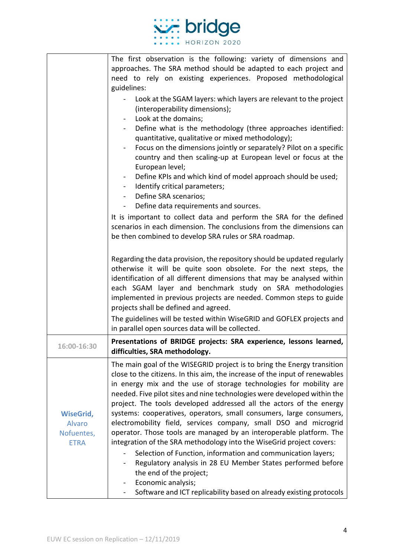

|                                                         | The first observation is the following: variety of dimensions and<br>approaches. The SRA method should be adapted to each project and<br>need to rely on existing experiences. Proposed methodological<br>guidelines:                                                                                                                                                                                                                                                                                                                                                                                                                                                                                                                                                                                                                                     |
|---------------------------------------------------------|-----------------------------------------------------------------------------------------------------------------------------------------------------------------------------------------------------------------------------------------------------------------------------------------------------------------------------------------------------------------------------------------------------------------------------------------------------------------------------------------------------------------------------------------------------------------------------------------------------------------------------------------------------------------------------------------------------------------------------------------------------------------------------------------------------------------------------------------------------------|
|                                                         | Look at the SGAM layers: which layers are relevant to the project<br>(interoperability dimensions);<br>Look at the domains;                                                                                                                                                                                                                                                                                                                                                                                                                                                                                                                                                                                                                                                                                                                               |
|                                                         | Define what is the methodology (three approaches identified:<br>quantitative, qualitative or mixed methodology);                                                                                                                                                                                                                                                                                                                                                                                                                                                                                                                                                                                                                                                                                                                                          |
|                                                         | Focus on the dimensions jointly or separately? Pilot on a specific<br>country and then scaling-up at European level or focus at the<br>European level;                                                                                                                                                                                                                                                                                                                                                                                                                                                                                                                                                                                                                                                                                                    |
|                                                         | Define KPIs and which kind of model approach should be used;<br>Identify critical parameters;<br>Define SRA scenarios;<br>$\sim$                                                                                                                                                                                                                                                                                                                                                                                                                                                                                                                                                                                                                                                                                                                          |
|                                                         | Define data requirements and sources.                                                                                                                                                                                                                                                                                                                                                                                                                                                                                                                                                                                                                                                                                                                                                                                                                     |
|                                                         | It is important to collect data and perform the SRA for the defined<br>scenarios in each dimension. The conclusions from the dimensions can<br>be then combined to develop SRA rules or SRA roadmap.                                                                                                                                                                                                                                                                                                                                                                                                                                                                                                                                                                                                                                                      |
|                                                         | Regarding the data provision, the repository should be updated regularly<br>otherwise it will be quite soon obsolete. For the next steps, the<br>identification of all different dimensions that may be analysed within<br>each SGAM layer and benchmark study on SRA methodologies<br>implemented in previous projects are needed. Common steps to guide<br>projects shall be defined and agreed.                                                                                                                                                                                                                                                                                                                                                                                                                                                        |
|                                                         | The guidelines will be tested within WiseGRID and GOFLEX projects and<br>in parallel open sources data will be collected.                                                                                                                                                                                                                                                                                                                                                                                                                                                                                                                                                                                                                                                                                                                                 |
| 16:00-16:30                                             | Presentations of BRIDGE projects: SRA experience, lessons learned,<br>difficulties, SRA methodology.                                                                                                                                                                                                                                                                                                                                                                                                                                                                                                                                                                                                                                                                                                                                                      |
| <b>WiseGrid,</b><br>Alvaro<br>Nofuentes,<br><b>ETRA</b> | The main goal of the WISEGRID project is to bring the Energy transition<br>close to the citizens. In this aim, the increase of the input of renewables<br>in energy mix and the use of storage technologies for mobility are<br>needed. Five pilot sites and nine technologies were developed within the<br>project. The tools developed addressed all the actors of the energy<br>systems: cooperatives, operators, small consumers, large consumers,<br>electromobility field, services company, small DSO and microgrid<br>operator. Those tools are managed by an interoperable platform. The<br>integration of the SRA methodology into the WiseGrid project covers:<br>Selection of Function, information and communication layers;<br>Regulatory analysis in 28 EU Member States performed before<br>the end of the project;<br>Economic analysis; |
|                                                         | Software and ICT replicability based on already existing protocols                                                                                                                                                                                                                                                                                                                                                                                                                                                                                                                                                                                                                                                                                                                                                                                        |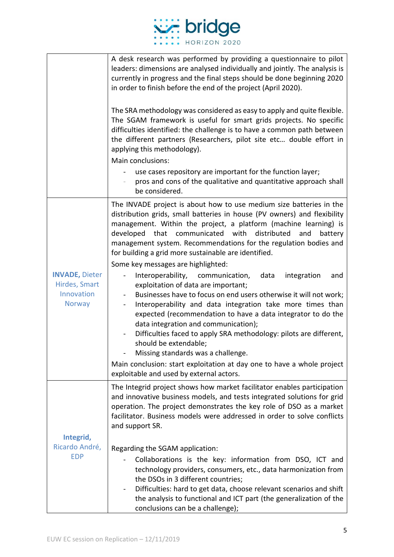

|                                                                | A desk research was performed by providing a questionnaire to pilot<br>leaders: dimensions are analysed individually and jointly. The analysis is<br>currently in progress and the final steps should be done beginning 2020<br>in order to finish before the end of the project (April 2020).<br>The SRA methodology was considered as easy to apply and quite flexible.<br>The SGAM framework is useful for smart grids projects. No specific<br>difficulties identified: the challenge is to have a common path between<br>the different partners (Researchers, pilot site etc double effort in<br>applying this methodology).<br>Main conclusions:<br>use cases repository are important for the function layer;<br>pros and cons of the qualitative and quantitative approach shall<br>be considered.                                                                                                                                                                                                                                                                   |
|----------------------------------------------------------------|------------------------------------------------------------------------------------------------------------------------------------------------------------------------------------------------------------------------------------------------------------------------------------------------------------------------------------------------------------------------------------------------------------------------------------------------------------------------------------------------------------------------------------------------------------------------------------------------------------------------------------------------------------------------------------------------------------------------------------------------------------------------------------------------------------------------------------------------------------------------------------------------------------------------------------------------------------------------------------------------------------------------------------------------------------------------------|
| <b>INVADE, Dieter</b><br>Hirdes, Smart<br>Innovation<br>Norway | The INVADE project is about how to use medium size batteries in the<br>distribution grids, small batteries in house (PV owners) and flexibility<br>management. Within the project, a platform (machine learning) is<br>developed<br>that communicated with distributed<br>and<br>battery<br>management system. Recommendations for the regulation bodies and<br>for building a grid more sustainable are identified.<br>Some key messages are highlighted:<br>Interoperability,<br>communication,<br>data<br>integration<br>and<br>exploitation of data are important;<br>Businesses have to focus on end users otherwise it will not work;<br>Interoperability and data integration take more times than<br>expected (recommendation to have a data integrator to do the<br>data integration and communication);<br>Difficulties faced to apply SRA methodology: pilots are different,<br>should be extendable;<br>Missing standards was a challenge.<br>Main conclusion: start exploitation at day one to have a whole project<br>exploitable and used by external actors. |
| Integrid,<br>Ricardo André,<br><b>EDP</b>                      | The Integrid project shows how market facilitator enables participation<br>and innovative business models, and tests integrated solutions for grid<br>operation. The project demonstrates the key role of DSO as a market<br>facilitator. Business models were addressed in order to solve conflicts<br>and support SR.<br>Regarding the SGAM application:<br>Collaborations is the key: information from DSO, ICT and<br>technology providers, consumers, etc., data harmonization from<br>the DSOs in 3 different countries;<br>Difficulties: hard to get data, choose relevant scenarios and shift<br>the analysis to functional and ICT part (the generalization of the<br>conclusions can be a challenge);                                                                                                                                                                                                                                                                                                                                                              |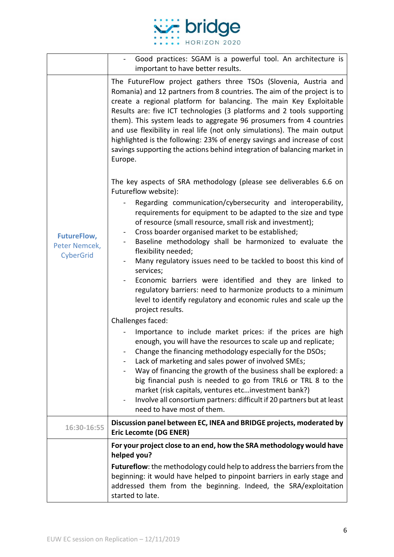

|                                                  | Good practices: SGAM is a powerful tool. An architecture is<br>important to have better results.                                                                                                                                                                                                                                                                                                                                                                                                                                                                                                                                                       |
|--------------------------------------------------|--------------------------------------------------------------------------------------------------------------------------------------------------------------------------------------------------------------------------------------------------------------------------------------------------------------------------------------------------------------------------------------------------------------------------------------------------------------------------------------------------------------------------------------------------------------------------------------------------------------------------------------------------------|
|                                                  | The FutureFlow project gathers three TSOs (Slovenia, Austria and<br>Romania) and 12 partners from 8 countries. The aim of the project is to<br>create a regional platform for balancing. The main Key Exploitable<br>Results are: five ICT technologies (3 platforms and 2 tools supporting<br>them). This system leads to aggregate 96 prosumers from 4 countries<br>and use flexibility in real life (not only simulations). The main output<br>highlighted is the following: 23% of energy savings and increase of cost<br>savings supporting the actions behind integration of balancing market in<br>Europe.                                      |
| <b>FutureFlow,</b><br>Peter Nemcek,<br>CyberGrid | The key aspects of SRA methodology (please see deliverables 6.6 on<br>Futureflow website):                                                                                                                                                                                                                                                                                                                                                                                                                                                                                                                                                             |
|                                                  | Regarding communication/cybersecurity and interoperability,<br>requirements for equipment to be adapted to the size and type<br>of resource (small resource, small risk and investment);<br>Cross boarder organised market to be established;<br>$\blacksquare$<br>Baseline methodology shall be harmonized to evaluate the<br>flexibility needed;<br>Many regulatory issues need to be tackled to boost this kind of<br>services;<br>Economic barriers were identified and they are linked to<br>regulatory barriers: need to harmonize products to a minimum<br>level to identify regulatory and economic rules and scale up the<br>project results. |
|                                                  | Challenges faced:                                                                                                                                                                                                                                                                                                                                                                                                                                                                                                                                                                                                                                      |
|                                                  | Importance to include market prices: if the prices are high<br>enough, you will have the resources to scale up and replicate;<br>Change the financing methodology especially for the DSOs;<br>Lack of marketing and sales power of involved SMEs;<br>Way of financing the growth of the business shall be explored: a<br>big financial push is needed to go from TRL6 or TRL 8 to the<br>market (risk capitals, ventures etcinvestment bank?)<br>Involve all consortium partners: difficult if 20 partners but at least<br>need to have most of them.                                                                                                  |
| 16:30-16:55                                      | Discussion panel between EC, INEA and BRIDGE projects, moderated by<br><b>Eric Lecomte (DG ENER)</b>                                                                                                                                                                                                                                                                                                                                                                                                                                                                                                                                                   |
|                                                  | For your project close to an end, how the SRA methodology would have<br>helped you?                                                                                                                                                                                                                                                                                                                                                                                                                                                                                                                                                                    |
|                                                  | Futureflow: the methodology could help to address the barriers from the<br>beginning: it would have helped to pinpoint barriers in early stage and<br>addressed them from the beginning. Indeed, the SRA/exploitation<br>started to late.                                                                                                                                                                                                                                                                                                                                                                                                              |